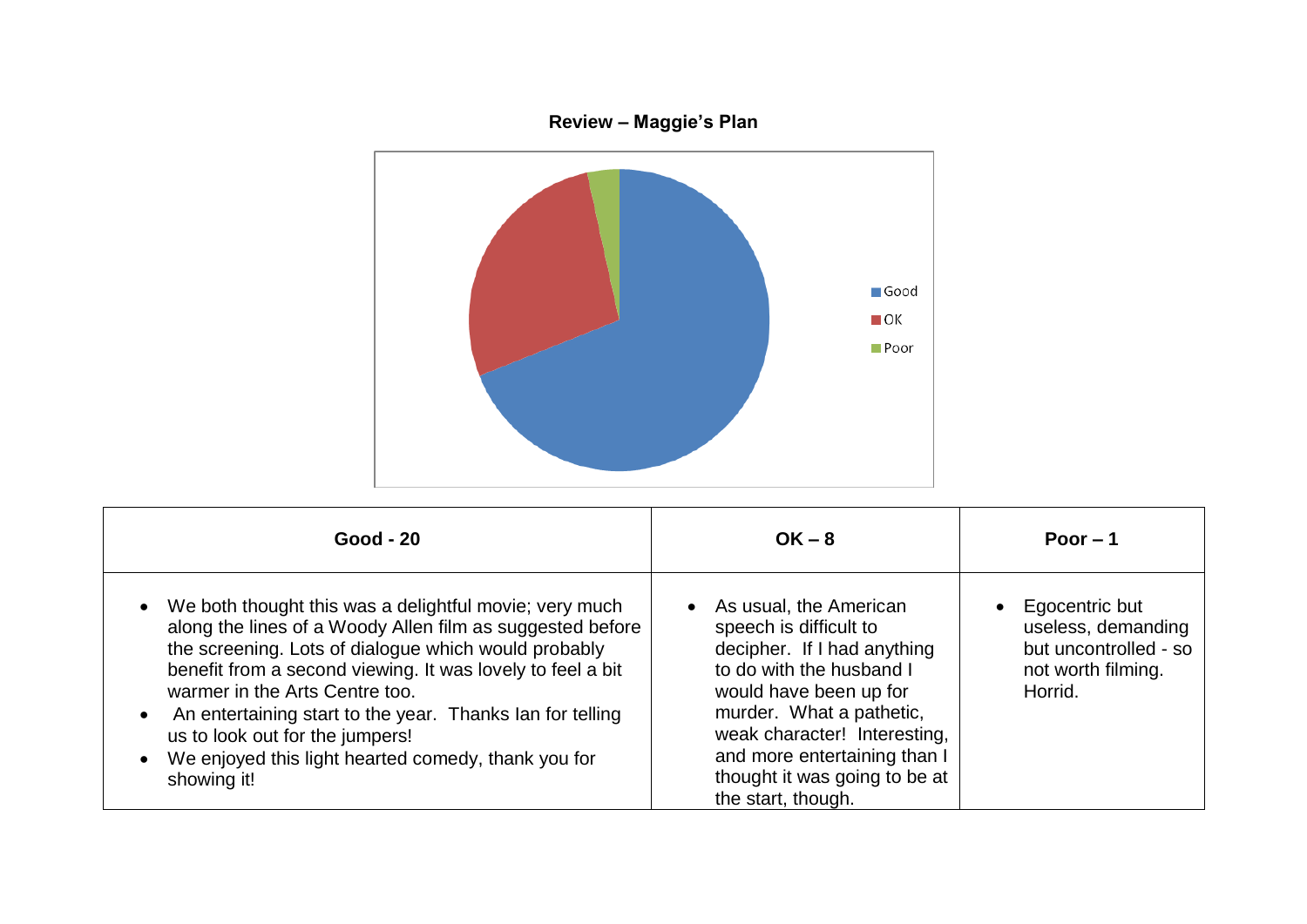

| <b>Good - 20</b>                                                                                                                                                                                                                                                                                                                                                                                                                                  | $OK - 8$                                                                                                                                                                                                                                                                                 | Poor $-1$                                                                                      |
|---------------------------------------------------------------------------------------------------------------------------------------------------------------------------------------------------------------------------------------------------------------------------------------------------------------------------------------------------------------------------------------------------------------------------------------------------|------------------------------------------------------------------------------------------------------------------------------------------------------------------------------------------------------------------------------------------------------------------------------------------|------------------------------------------------------------------------------------------------|
| We both thought this was a delightful movie; very much<br>along the lines of a Woody Allen film as suggested before<br>the screening. Lots of dialogue which would probably<br>benefit from a second viewing. It was lovely to feel a bit<br>warmer in the Arts Centre too.<br>An entertaining start to the year. Thanks lan for telling<br>us to look out for the jumpers!<br>We enjoyed this light hearted comedy, thank you for<br>showing it! | As usual, the American<br>speech is difficult to<br>decipher. If I had anything<br>to do with the husband I<br>would have been up for<br>murder. What a pathetic,<br>weak character! Interesting,<br>and more entertaining than I<br>thought it was going to be at<br>the start, though. | Egocentric but<br>useless, demanding<br>but uncontrolled - so<br>not worth filming.<br>Horrid. |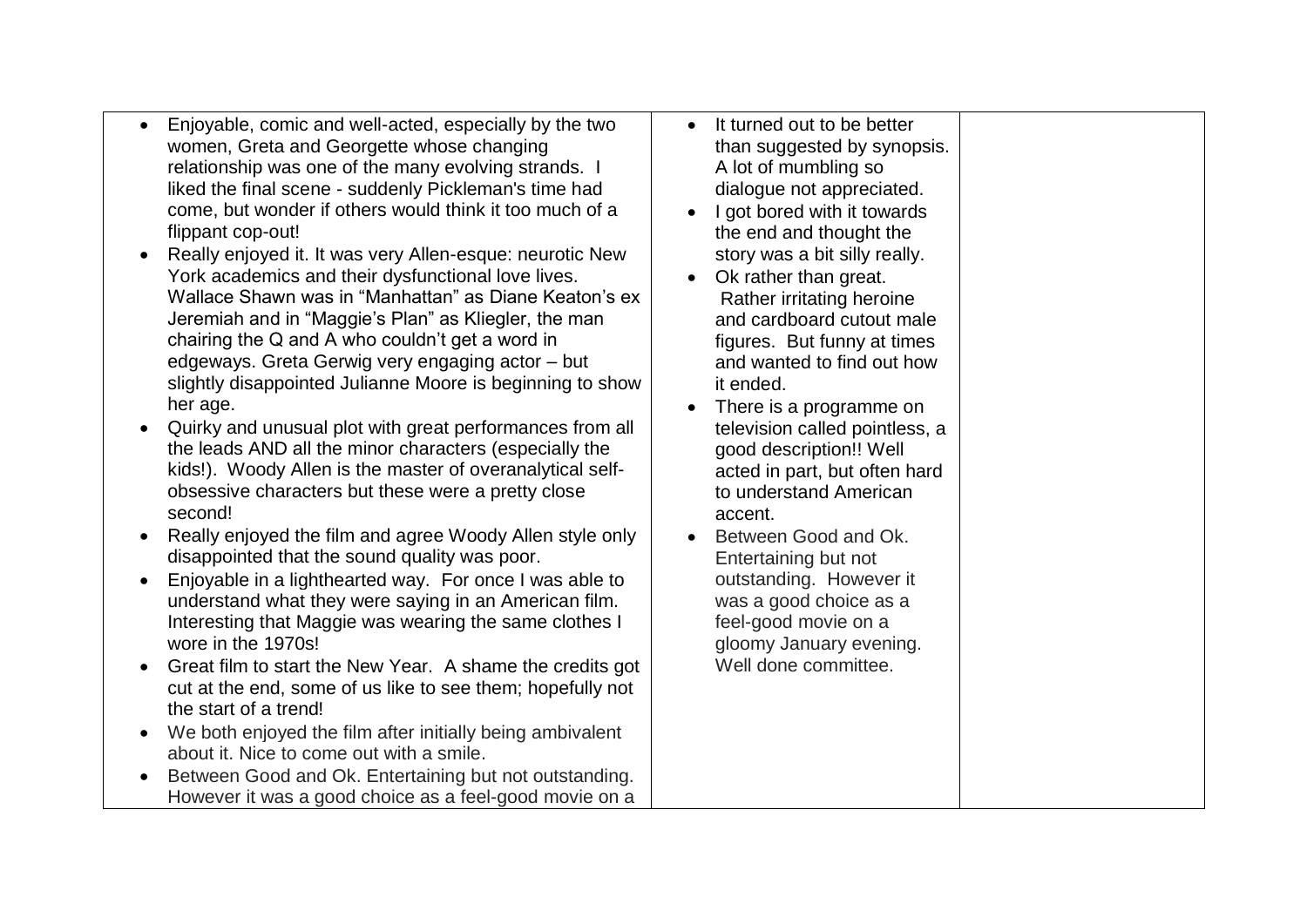- Enjoyable, comic and well-acted, especially by the two women, Greta and Georgette whose changing relationship was one of the many evolving strands. I liked the final scene - suddenly Pickleman's time had come, but wonder if others would think it too much of a flippant cop-out!
- Really enjoyed it. It was very Allen-esque: neurotic New York academics and their dysfunctional love lives. Wallace Shawn was in "Manhattan" as Diane Keaton's ex Jeremiah and in "Maggie's Plan" as Kliegler, the man chairing the Q and A who couldn't get a word in edgeways. Greta Gerwig very engaging actor – but slightly disappointed Julianne Moore is beginning to show her age.
- Quirky and unusual plot with great performances from all the leads AND all the minor characters (especially the kids!). Woody Allen is the master of overanalytical selfobsessive characters but these were a pretty close second!
- Really enjoyed the film and agree Woody Allen style only disappointed that the sound quality was poor.
- Enjoyable in a lighthearted way. For once I was able to understand what they were saying in an American film. Interesting that Maggie was wearing the same clothes I wore in the 1970s!
- Great film to start the New Year. A shame the credits got cut at the end, some of us like to see them; hopefully not the start of a trend!
- We both enjoyed the film after initially being ambivalent about it. Nice to come out with a smile.
- Between Good and Ok. Entertaining but not outstanding. However it was a good choice as a feel-good movie on a
- It turned out to be better than suggested by synopsis. A lot of mumbling so dialogue not appreciated.
- I got bored with it towards the end and thought the story was a bit silly really.
- Ok rather than great. Rather irritating heroine and cardboard cutout male figures. But funny at times and wanted to find out how it ended.
- There is a programme on television called pointless, a good description!! Well acted in part, but often hard to understand American accent.
- Between Good and Ok. Entertaining but not outstanding. However it was a good choice as a feel-good movie on a gloomy January evening. Well done committee.